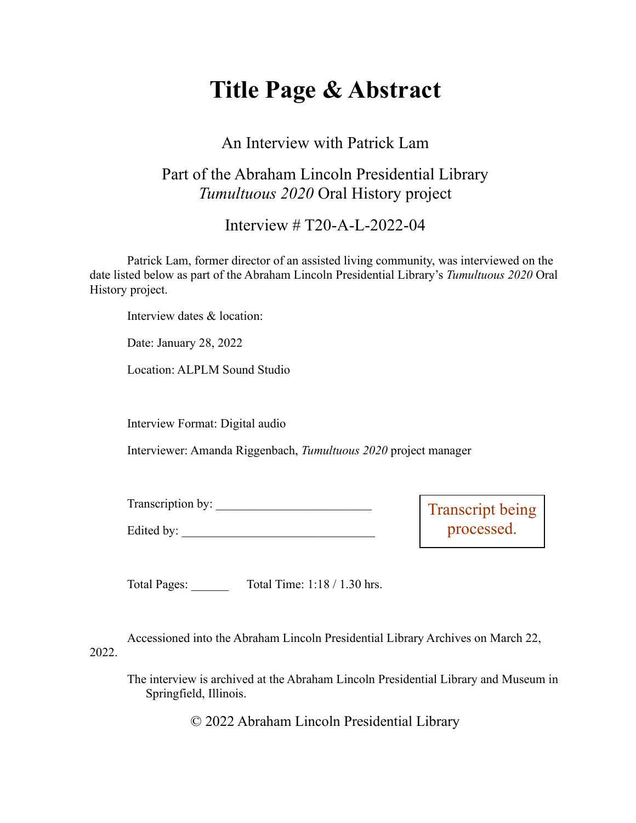# **Title Page & Abstract**

### An Interview with Patrick Lam

## Part of the Abraham Lincoln Presidential Library *Tumultuous 2020* Oral History project

#### Interview # T20-A-L-2022-04

Patrick Lam, former director of an assisted living community, was interviewed on the date listed below as part of the Abraham Lincoln Presidential Library's *Tumultuous 2020* Oral History project.

Interview dates & location:

Date: January 28, 2022

Location: ALPLM Sound Studio

Interview Format: Digital audio

Interviewer: Amanda Riggenbach, *Tumultuous 2020* project manager

| m<br>Transcription by: |  |
|------------------------|--|
|------------------------|--|

Edited by:

Transcript being processed.

Total Pages: \_\_\_\_\_\_ Total Time: 1:18 / 1.30 hrs.

Accessioned into the Abraham Lincoln Presidential Library Archives on March 22, 2022.

The interview is archived at the Abraham Lincoln Presidential Library and Museum in Springfield, Illinois.

© 2022 Abraham Lincoln Presidential Library